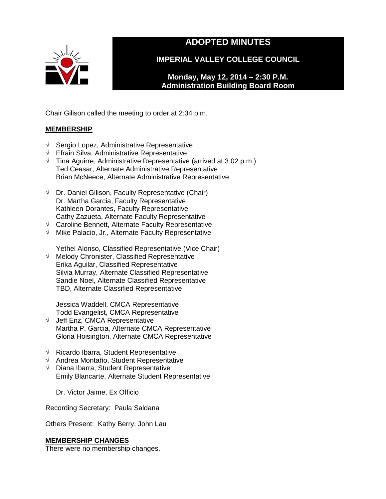

# **ADOPTED MINUTES**

**IMPERIAL VALLEY COLLEGE COUNCIL**

**Monday, May 12, 2014 – 2:30 P.M. Administration Building Board Room** 

Chair Gilison called the meeting to order at 2:34 p.m.

# **MEMBERSHIP**

- √ Sergio Lopez, Administrative Representative
- √ Efrain Silva, Administrative Representative
- $\sqrt{\phantom{a}}$  Tina Aguirre, Administrative Representative (arrived at 3:02 p.m.) Ted Ceasar, Alternate Administrative Representative Brian McNeece, Alternate Administrative Representative
- $\sqrt{\phantom{a}}$  Dr. Daniel Gilison, Faculty Representative (Chair) Dr. Martha Garcia, Faculty Representative Kathleen Dorantes, Faculty Representative Cathy Zazueta, Alternate Faculty Representative
- √ Caroline Bennett, Alternate Faculty Representative
- √ Mike Palacio, Jr., Alternate Faculty Representative

Yethel Alonso, Classified Representative (Vice Chair)

√ Melody Chronister, Classified Representative Erika Aguilar, Classified Representative Silvia Murray, Alternate Classified Representative Sandie Noel, Alternate Classified Representative TBD, Alternate Classified Representative

Jessica Waddell, CMCA Representative Todd Evangelist, CMCA Representative

- √ Jeff Enz, CMCA Representative Martha P. Garcia, Alternate CMCA Representative Gloria Hoisington, Alternate CMCA Representative
- √ Ricardo Ibarra, Student Representative
- √ Andrea Montaño, Student Representative
- √ Diana Ibarra, Student Representative Emily Blancarte, Alternate Student Representative

Dr. Victor Jaime, Ex Officio

Recording Secretary: Paula Saldana

Others Present: Kathy Berry, John Lau

# **MEMBERSHIP CHANGES**

There were no membership changes.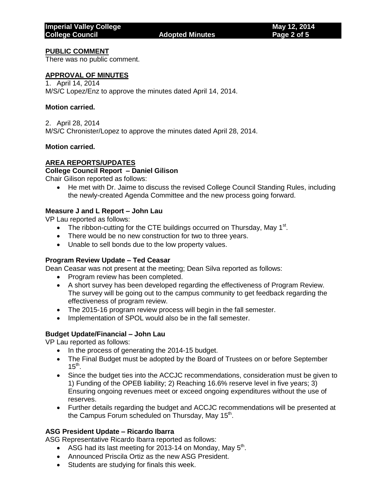#### **PUBLIC COMMENT**

There was no public comment.

#### **APPROVAL OF MINUTES**

1. April 14, 2014 M/S/C Lopez/Enz to approve the minutes dated April 14, 2014.

#### **Motion carried.**

2. April 28, 2014 M/S/C Chronister/Lopez to approve the minutes dated April 28, 2014.

#### **Motion carried.**

# **AREA REPORTS/UPDATES**

# **College Council Report – Daniel Gilison**

Chair Gilison reported as follows:

• He met with Dr. Jaime to discuss the revised College Council Standing Rules, including the newly-created Agenda Committee and the new process going forward.

# **Measure J and L Report – John Lau**

VP Lau reported as follows:

- The ribbon-cutting for the CTE buildings occurred on Thursday, May  $1<sup>st</sup>$ .
- There would be no new construction for two to three years.
- Unable to sell bonds due to the low property values.

#### **Program Review Update – Ted Ceasar**

Dean Ceasar was not present at the meeting; Dean Silva reported as follows:

- Program review has been completed.
- A short survey has been developed regarding the effectiveness of Program Review. The survey will be going out to the campus community to get feedback regarding the effectiveness of program review.
- The 2015-16 program review process will begin in the fall semester.
- Implementation of SPOL would also be in the fall semester.

# **Budget Update/Financial – John Lau**

VP Lau reported as follows:

- In the process of generating the 2014-15 budget.
- The Final Budget must be adopted by the Board of Trustees on or before September  $15<sup>th</sup>$ .
- Since the budget ties into the ACCJC recommendations, consideration must be given to 1) Funding of the OPEB liability; 2) Reaching 16.6% reserve level in five years; 3) Ensuring ongoing revenues meet or exceed ongoing expenditures without the use of reserves.
- Further details regarding the budget and ACCJC recommendations will be presented at the Campus Forum scheduled on Thursday, May 15<sup>th</sup>.

# **ASG President Update – Ricardo Ibarra**

ASG Representative Ricardo Ibarra reported as follows:

- ASG had its last meeting for 2013-14 on Monday, May  $5<sup>th</sup>$ .
- Announced Priscila Ortiz as the new ASG President.
- Students are studying for finals this week.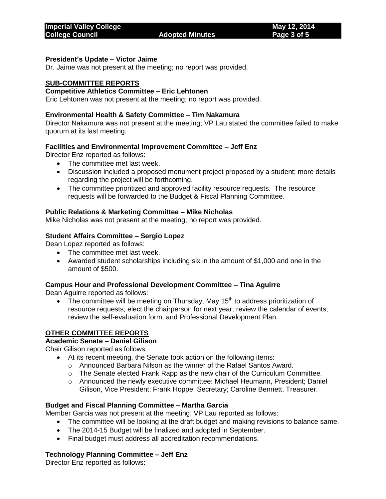# **President's Update – Victor Jaime**

Dr. Jaime was not present at the meeting; no report was provided.

#### **SUB-COMMITTEE REPORTS**

# **Competitive Athletics Committee – Eric Lehtonen**

Eric Lehtonen was not present at the meeting; no report was provided.

#### **Environmental Health & Safety Committee – Tim Nakamura**

Director Nakamura was not present at the meeting; VP Lau stated the committee failed to make quorum at its last meeting.

#### **Facilities and Environmental Improvement Committee – Jeff Enz**

Director Enz reported as follows:

- The committee met last week.
- Discussion included a proposed monument project proposed by a student; more details regarding the project will be forthcoming.
- The committee prioritized and approved facility resource requests. The resource requests will be forwarded to the Budget & Fiscal Planning Committee.

#### **Public Relations & Marketing Committee – Mike Nicholas**

Mike Nicholas was not present at the meeting; no report was provided.

#### **Student Affairs Committee – Sergio Lopez**

Dean Lopez reported as follows:

- The committee met last week.
- Awarded student scholarships including six in the amount of \$1,000 and one in the amount of \$500.

#### **Campus Hour and Professional Development Committee – Tina Aguirre**

Dean Aguirre reported as follows:

• The committee will be meeting on Thursday, May 15<sup>th</sup> to address prioritization of resource requests; elect the chairperson for next year; review the calendar of events; review the self-evaluation form; and Professional Development Plan.

# **OTHER COMMITTEE REPORTS**

# **Academic Senate – Daniel Gilison**

Chair Gilison reported as follows:

- At its recent meeting, the Senate took action on the following items:
	- o Announced Barbara Nilson as the winner of the Rafael Santos Award.
	- o The Senate elected Frank Rapp as the new chair of the Curriculum Committee.
	- o Announced the newly executive committee: Michael Heumann, President; Daniel Gilison, Vice President; Frank Hoppe, Secretary; Caroline Bennett, Treasurer.

#### **Budget and Fiscal Planning Committee – Martha Garcia**

Member Garcia was not present at the meeting; VP Lau reported as follows:

- The committee will be looking at the draft budget and making revisions to balance same.
- The 2014-15 Budget will be finalized and adopted in September.
- Final budget must address all accreditation recommendations.

#### **Technology Planning Committee – Jeff Enz**

Director Enz reported as follows: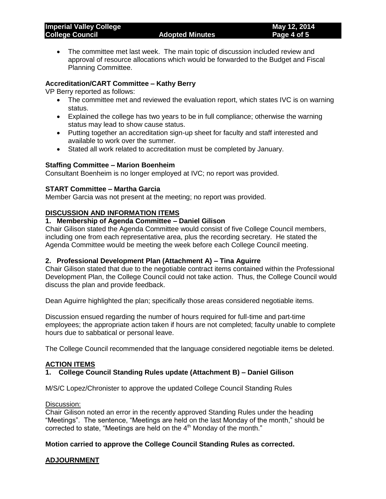The committee met last week. The main topic of discussion included review and approval of resource allocations which would be forwarded to the Budget and Fiscal Planning Committee.

# **Accreditation/CART Committee – Kathy Berry**

VP Berry reported as follows:

- The committee met and reviewed the evaluation report, which states IVC is on warning status.
- Explained the college has two years to be in full compliance; otherwise the warning status may lead to show cause status.
- Putting together an accreditation sign-up sheet for faculty and staff interested and available to work over the summer.
- Stated all work related to accreditation must be completed by January.

#### **Staffing Committee – Marion Boenheim**

Consultant Boenheim is no longer employed at IVC; no report was provided.

#### **START Committee – Martha Garcia**

Member Garcia was not present at the meeting; no report was provided.

#### **DISCUSSION AND INFORMATION ITEMS**

#### **1. Membership of Agenda Committee – Daniel Gilison**

Chair Gilison stated the Agenda Committee would consist of five College Council members, including one from each representative area, plus the recording secretary. He stated the Agenda Committee would be meeting the week before each College Council meeting.

#### **2. Professional Development Plan (Attachment A) – Tina Aguirre**

Chair Gilison stated that due to the negotiable contract items contained within the Professional Development Plan, the College Council could not take action. Thus, the College Council would discuss the plan and provide feedback.

Dean Aguirre highlighted the plan; specifically those areas considered negotiable items.

Discussion ensued regarding the number of hours required for full-time and part-time employees; the appropriate action taken if hours are not completed; faculty unable to complete hours due to sabbatical or personal leave.

The College Council recommended that the language considered negotiable items be deleted.

# **ACTION ITEMS**

# **1. College Council Standing Rules update (Attachment B) – Daniel Gilison**

M/S/C Lopez/Chronister to approve the updated College Council Standing Rules

#### Discussion:

Chair Gilison noted an error in the recently approved Standing Rules under the heading "Meetings". The sentence, "Meetings are held on the last Monday of the month," should be corrected to state, "Meetings are held on the  $4<sup>th</sup>$  Monday of the month."

# **Motion carried to approve the College Council Standing Rules as corrected.**

# **ADJOURNMENT**